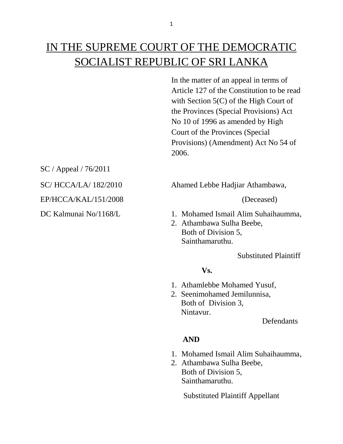# IN THE SUPREME COURT OF THE DEMOCRATIC SOCIALIST REPUBLIC OF SRI LANKA

In the matter of an appeal in terms of Article 127 of the Constitution to be read with Section 5(C) of the High Court of the Provinces (Special Provisions) Act No 10 of 1996 as amended by High Court of the Provinces (Special Provisions) (Amendment) Act No 54 of 2006.

SC / Appeal / 76/2011

EP/HCCA/KAL/151/2008 (Deceased)

SC/ HCCA/LA/ 182/2010 Ahamed Lebbe Hadjiar Athambawa,

- DC Kalmunai No/1168/L 1. Mohamed Ismail Alim Suhaihaumma,
	- 2. Athambawa Sulha Beebe, Both of Division 5, Sainthamaruthu.

Substituted Plaintiff

## **Vs.**

- 1. Athamlebbe Mohamed Yusuf,
- 2. Seenimohamed Jemilunnisa, Both of Division 3, Nintavur.

**Defendants** 

# **AND**

- 1. Mohamed Ismail Alim Suhaihaumma,
- 2. Athambawa Sulha Beebe, Both of Division 5, Sainthamaruthu.

Substituted Plaintiff Appellant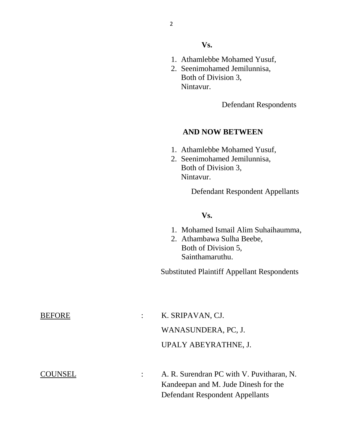#### **Vs.**

- 1. Athamlebbe Mohamed Yusuf,
- 2. Seenimohamed Jemilunnisa, Both of Division 3, Nintavur.

Defendant Respondents

### **AND NOW BETWEEN**

- 1. Athamlebbe Mohamed Yusuf,
- 2. Seenimohamed Jemilunnisa, Both of Division 3, Nintavur.

Defendant Respondent Appellants

#### **Vs.**

- 1. Mohamed Ismail Alim Suhaihaumma,
- 2. Athambawa Sulha Beebe, Both of Division 5, Sainthamaruthu.

Substituted Plaintiff Appellant Respondents

| <b>BEFORE</b>  | K. SRIPAVAN, CJ.                          |
|----------------|-------------------------------------------|
|                | WANASUNDERA, PC, J.                       |
|                | UPALY ABEYRATHNE, J.                      |
| <b>COUNSEL</b> | A. R. Surendran PC with V. Puvitharan, N. |
|                | Kandeepan and M. Jude Dinesh for the      |
|                | <b>Defendant Respondent Appellants</b>    |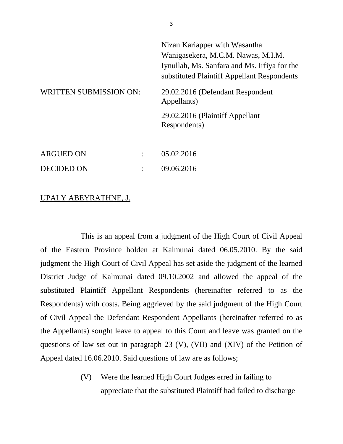| <b>WRITTEN SUBMISSION ON:</b> |  | Nizan Kariapper with Wasantha<br>Wanigasekera, M.C.M. Nawas, M.I.M.<br>Iynullah, Ms. Sanfara and Ms. Irfiya for the<br>substituted Plaintiff Appellant Respondents<br>29.02.2016 (Defendant Respondent<br>Appellants)<br>29.02.2016 (Plaintiff Appellant<br>Respondents) |
|-------------------------------|--|--------------------------------------------------------------------------------------------------------------------------------------------------------------------------------------------------------------------------------------------------------------------------|
| <b>ARGUED ON</b>              |  | 05.02.2016                                                                                                                                                                                                                                                               |
| DECIDED ON                    |  | 09.06.2016                                                                                                                                                                                                                                                               |

#### UPALY ABEYRATHNE, J.

This is an appeal from a judgment of the High Court of Civil Appeal of the Eastern Province holden at Kalmunai dated 06.05.2010. By the said judgment the High Court of Civil Appeal has set aside the judgment of the learned District Judge of Kalmunai dated 09.10.2002 and allowed the appeal of the substituted Plaintiff Appellant Respondents (hereinafter referred to as the Respondents) with costs. Being aggrieved by the said judgment of the High Court of Civil Appeal the Defendant Respondent Appellants (hereinafter referred to as the Appellants) sought leave to appeal to this Court and leave was granted on the questions of law set out in paragraph 23 (V), (VII) and (XIV) of the Petition of Appeal dated 16.06.2010. Said questions of law are as follows;

> (V) Were the learned High Court Judges erred in failing to appreciate that the substituted Plaintiff had failed to discharge

3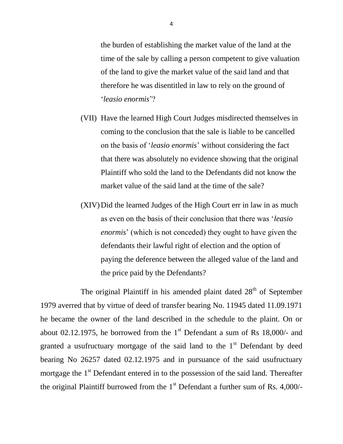the burden of establishing the market value of the land at the time of the sale by calling a person competent to give valuation of the land to give the market value of the said land and that therefore he was disentitled in law to rely on the ground of '*leasio enormis*'?

- (VII) Have the learned High Court Judges misdirected themselves in coming to the conclusion that the sale is liable to be cancelled on the basis of '*leasio enormis*' without considering the fact that there was absolutely no evidence showing that the original Plaintiff who sold the land to the Defendants did not know the market value of the said land at the time of the sale?
- (XIV)Did the learned Judges of the High Court err in law in as much as even on the basis of their conclusion that there was '*leasio enormis*' (which is not conceded) they ought to have given the defendants their lawful right of election and the option of paying the deference between the alleged value of the land and the price paid by the Defendants?

The original Plaintiff in his amended plaint dated  $28<sup>th</sup>$  of September 1979 averred that by virtue of deed of transfer bearing No. 11945 dated 11.09.1971 he became the owner of the land described in the schedule to the plaint. On or about 02.12.1975, he borrowed from the  $1<sup>st</sup>$  Defendant a sum of Rs 18,000/- and granted a usufructuary mortgage of the said land to the  $1<sup>st</sup>$  Defendant by deed bearing No 26257 dated 02.12.1975 and in pursuance of the said usufructuary mortgage the  $1<sup>st</sup>$  Defendant entered in to the possession of the said land. Thereafter the original Plaintiff burrowed from the  $1<sup>st</sup>$  Defendant a further sum of Rs. 4,000/-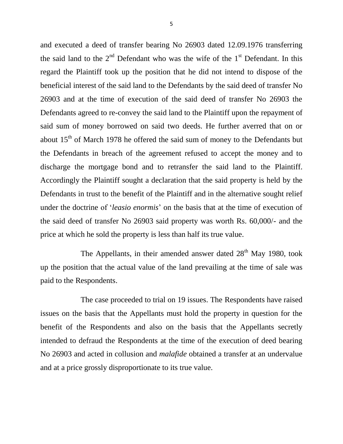and executed a deed of transfer bearing No 26903 dated 12.09.1976 transferring the said land to the  $2<sup>nd</sup>$  Defendant who was the wife of the  $1<sup>st</sup>$  Defendant. In this regard the Plaintiff took up the position that he did not intend to dispose of the beneficial interest of the said land to the Defendants by the said deed of transfer No 26903 and at the time of execution of the said deed of transfer No 26903 the Defendants agreed to re-convey the said land to the Plaintiff upon the repayment of said sum of money borrowed on said two deeds. He further averred that on or about  $15<sup>th</sup>$  of March 1978 he offered the said sum of money to the Defendants but the Defendants in breach of the agreement refused to accept the money and to discharge the mortgage bond and to retransfer the said land to the Plaintiff. Accordingly the Plaintiff sought a declaration that the said property is held by the Defendants in trust to the benefit of the Plaintiff and in the alternative sought relief under the doctrine of '*leasio enormis*' on the basis that at the time of execution of the said deed of transfer No 26903 said property was worth Rs. 60,000/- and the price at which he sold the property is less than half its true value.

The Appellants, in their amended answer dated  $28<sup>th</sup>$  May 1980, took up the position that the actual value of the land prevailing at the time of sale was paid to the Respondents.

The case proceeded to trial on 19 issues. The Respondents have raised issues on the basis that the Appellants must hold the property in question for the benefit of the Respondents and also on the basis that the Appellants secretly intended to defraud the Respondents at the time of the execution of deed bearing No 26903 and acted in collusion and *malafide* obtained a transfer at an undervalue and at a price grossly disproportionate to its true value.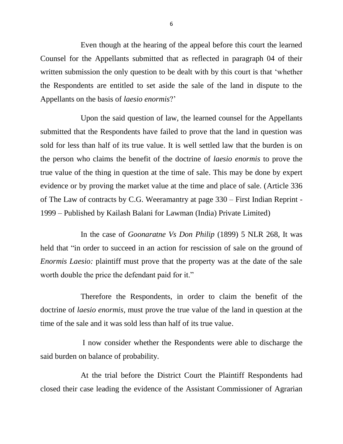Even though at the hearing of the appeal before this court the learned Counsel for the Appellants submitted that as reflected in paragraph 04 of their written submission the only question to be dealt with by this court is that 'whether the Respondents are entitled to set aside the sale of the land in dispute to the Appellants on the basis of *laesio enormis*?'

Upon the said question of law, the learned counsel for the Appellants submitted that the Respondents have failed to prove that the land in question was sold for less than half of its true value. It is well settled law that the burden is on the person who claims the benefit of the doctrine of *laesio enormis* to prove the true value of the thing in question at the time of sale. This may be done by expert evidence or by proving the market value at the time and place of sale. (Article 336 of The Law of contracts by C.G. Weeramantry at page 330 – First Indian Reprint - 1999 – Published by Kailash Balani for Lawman (India) Private Limited)

In the case of *Goonaratne Vs Don Philip* (1899) 5 NLR 268, It was held that "in order to succeed in an action for rescission of sale on the ground of *Enormis Laesio:* plaintiff must prove that the property was at the date of the sale worth double the price the defendant paid for it."

Therefore the Respondents, in order to claim the benefit of the doctrine of *laesio enormis,* must prove the true value of the land in question at the time of the sale and it was sold less than half of its true value.

I now consider whether the Respondents were able to discharge the said burden on balance of probability.

At the trial before the District Court the Plaintiff Respondents had closed their case leading the evidence of the Assistant Commissioner of Agrarian

6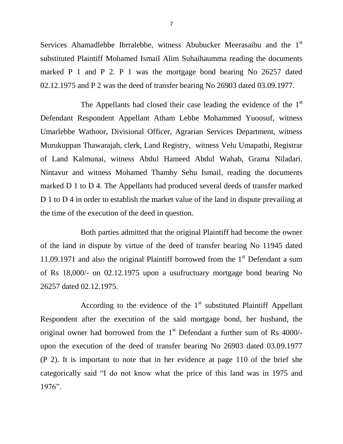Services Ahamadlebbe Ibrralebbe, witness Abubucker Meerasaibu and the 1<sup>st</sup> substituted Plaintiff Mohamed Ismail Alim Suhaihaumma reading the documents marked P 1 and P 2. P 1 was the mortgage bond bearing No 26257 dated 02.12.1975 and P 2 was the deed of transfer bearing No 26903 dated 03.09.1977.

The Appellants had closed their case leading the evidence of the  $1<sup>st</sup>$ Defendant Respondent Appellant Atham Lebbe Mohammed Yuoosuf, witness Umarlebbe Wathoor, Divisional Officer, Agrarian Services Department, witness Murukuppan Thawarajah, clerk, Land Registry, witness Velu Umapathi, Registrar of Land Kalmunai, witness Abdul Hameed Abdul Wahab, Grama Niladari. Nintavur and witness Mohamed Thamby Sehu Ismail, reading the documents marked D 1 to D 4. The Appellants had produced several deeds of transfer marked D 1 to D 4 in order to establish the market value of the land in dispute prevailing at the time of the execution of the deed in question.

Both parties admitted that the original Plaintiff had become the owner of the land in dispute by virtue of the deed of transfer bearing No 11945 dated 11.09.1971 and also the original Plaintiff borrowed from the  $1<sup>st</sup>$  Defendant a sum of Rs 18,000/- on 02.12.1975 upon a usufructuary mortgage bond bearing No 26257 dated 02.12.1975.

According to the evidence of the  $1<sup>st</sup>$  substituted Plaintiff Appellant Respondent after the execution of the said mortgage bond, her husband, the original owner had borrowed from the 1<sup>st</sup> Defendant a further sum of Rs 4000/upon the execution of the deed of transfer bearing No 26903 dated 03.09.1977 (P 2). It is important to note that in her evidence at page 110 of the brief she categorically said "I do not know what the price of this land was in 1975 and 1976".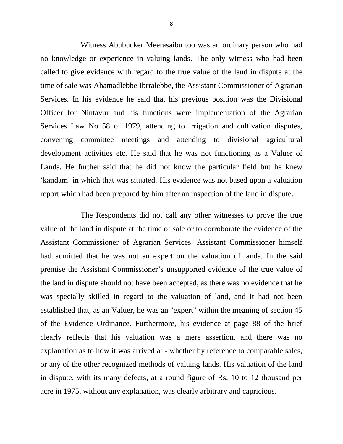Witness Abubucker Meerasaibu too was an ordinary person who had no knowledge or experience in valuing lands. The only witness who had been called to give evidence with regard to the true value of the land in dispute at the time of sale was Ahamadlebbe Ibrralebbe, the Assistant Commissioner of Agrarian Services. In his evidence he said that his previous position was the Divisional Officer for Nintavur and his functions were implementation of the Agrarian Services Law No 58 of 1979, attending to irrigation and cultivation disputes, convening committee meetings and attending to divisional agricultural development activities etc. He said that he was not functioning as a Valuer of Lands. He further said that he did not know the particular field but he knew 'kandam' in which that was situated. His evidence was not based upon a valuation report which had been prepared by him after an inspection of the land in dispute.

The Respondents did not call any other witnesses to prove the true value of the land in dispute at the time of sale or to corroborate the evidence of the Assistant Commissioner of Agrarian Services. Assistant Commissioner himself had admitted that he was not an expert on the valuation of lands. In the said premise the Assistant Commissioner's unsupported evidence of the true value of the land in dispute should not have been accepted, as there was no evidence that he was specially skilled in regard to the valuation of land, and it had not been established that, as an Valuer, he was an "expert" within the meaning of section 45 of the Evidence Ordinance. Furthermore, his evidence at page 88 of the brief clearly reflects that his valuation was a mere assertion, and there was no explanation as to how it was arrived at - whether by reference to comparable sales, or any of the other recognized methods of valuing lands. His valuation of the land in dispute, with its many defects, at a round figure of Rs. 10 to 12 thousand per acre in 1975, without any explanation, was clearly arbitrary and capricious.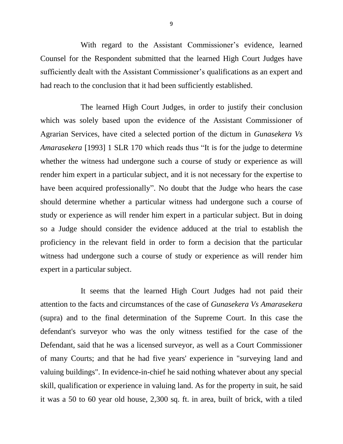With regard to the Assistant Commissioner's evidence, learned Counsel for the Respondent submitted that the learned High Court Judges have sufficiently dealt with the Assistant Commissioner's qualifications as an expert and had reach to the conclusion that it had been sufficiently established.

The learned High Court Judges, in order to justify their conclusion which was solely based upon the evidence of the Assistant Commissioner of Agrarian Services, have cited a selected portion of the dictum in *Gunasekera Vs Amarasekera* [1993] 1 SLR 170 which reads thus "It is for the judge to determine whether the witness had undergone such a course of study or experience as will render him expert in a particular subject, and it is not necessary for the expertise to have been acquired professionally". No doubt that the Judge who hears the case should determine whether a particular witness had undergone such a course of study or experience as will render him expert in a particular subject. But in doing so a Judge should consider the evidence adduced at the trial to establish the proficiency in the relevant field in order to form a decision that the particular witness had undergone such a course of study or experience as will render him expert in a particular subject.

It seems that the learned High Court Judges had not paid their attention to the facts and circumstances of the case of *Gunasekera Vs Amarasekera* (supra) and to the final determination of the Supreme Court. In this case the defendant's surveyor who was the only witness testified for the case of the Defendant, said that he was a licensed surveyor, as well as a Court Commissioner of many Courts; and that he had five years' experience in "surveying land and valuing buildings". In evidence-in-chief he said nothing whatever about any special skill, qualification or experience in valuing land. As for the property in suit, he said it was a 50 to 60 year old house, 2,300 sq. ft. in area, built of brick, with a tiled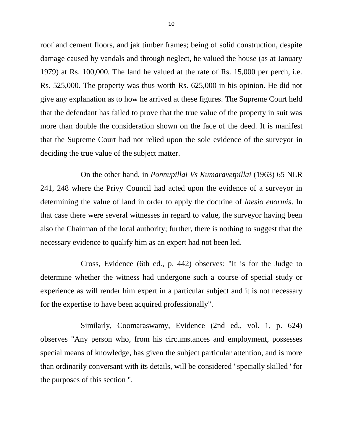roof and cement floors, and jak timber frames; being of solid construction, despite damage caused by vandals and through neglect, he valued the house (as at January 1979) at Rs. 100,000. The land he valued at the rate of Rs. 15,000 per perch, i.e. Rs. 525,000. The property was thus worth Rs. 625,000 in his opinion. He did not give any explanation as to how he arrived at these figures. The Supreme Court held that the defendant has failed to prove that the true value of the property in suit was more than double the consideration shown on the face of the deed. It is manifest that the Supreme Court had not relied upon the sole evidence of the surveyor in deciding the true value of the subject matter.

On the other hand, in *Ponnupillai Vs Kumaravetpillai* (1963) 65 NLR 241, 248 where the Privy Council had acted upon the evidence of a surveyor in determining the value of land in order to apply the doctrine of *laesio enormis*. In that case there were several witnesses in regard to value, the surveyor having been also the Chairman of the local authority; further, there is nothing to suggest that the necessary evidence to qualify him as an expert had not been led.

Cross, Evidence (6th ed., p. 442) observes: "It is for the Judge to determine whether the witness had undergone such a course of special study or experience as will render him expert in a particular subject and it is not necessary for the expertise to have been acquired professionally".

Similarly, Coomaraswamy, Evidence (2nd ed., vol. 1, p. 624) observes "Any person who, from his circumstances and employment, possesses special means of knowledge, has given the subject particular attention, and is more than ordinarily conversant with its details, will be considered ' specially skilled ' for the purposes of this section ".